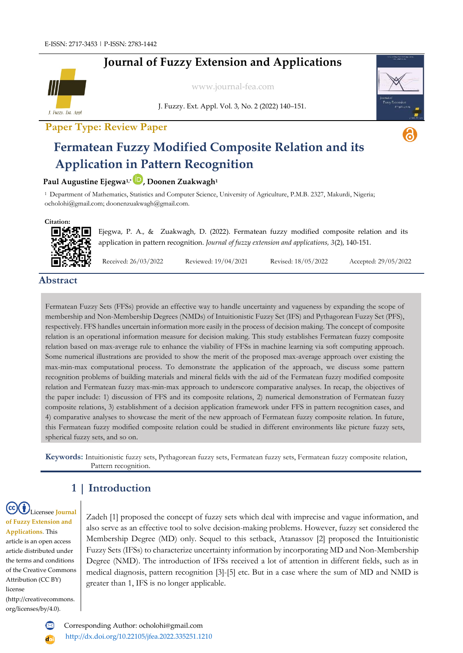# **Journal of Fuzzy Extension and Applications**



[www.journal-fea.com](http://www.journal-fea.com/)

J. Fuzzy. Ext. Appl. Vol. 3, No. 2 (2022) 140–151.

### **Paper Type: Review Paper**



# **Fermatean Fuzzy Modified Composite Relation and its Application in Pattern Recognition**

#### **Paul Augustine Ejegwa1,\* , Doonen Zuakwagh<sup>1</sup>**

<sup>1</sup>Department of Mathematics, Statistics and Computer Science, University of Agriculture, P.M.B. 2327, Makurdi, Nigeria; ocholohi@gmail.com; [doonenzuakwagh@gmail.com.](mailto:doonenzuakwagh@gmail.com)

#### **Citation:**



Ejegwa, P. A., & Zuakwagh, D. (2022). Fermatean fuzzy modified composite relation and its application in pattern recognition. *Journal of fuzzy extension and applications, 3*(2), 140-151.

Received: 26/03/2022 Reviewed: 19/04/2021 Revised: 18/05/2022 Accepted: 29/05/2022

#### **Abstract**

Fermatean Fuzzy Sets (FFSs) provide an effective way to handle uncertainty and vagueness by expanding the scope of membership and Non-Membership Degrees (NMDs) of Intuitionistic Fuzzy Set (IFS) and Pythagorean Fuzzy Set (PFS), respectively. FFS handles uncertain information more easily in the process of decision making. The concept of composite relation is an operational information measure for decision making. This study establishes Fermatean fuzzy composite relation based on max-average rule to enhance the viability of FFSs in machine learning via soft computing approach. Some numerical illustrations are provided to show the merit of the proposed max-average approach over existing the max-min-max computational process. To demonstrate the application of the approach, we discuss some pattern recognition problems of building materials and mineral fields with the aid of the Fermatean fuzzy modified composite relation and Fermatean fuzzy max-min-max approach to underscore comparative analyses. In recap, the objectives of the paper include: 1) discussion of FFS and its composite relations, 2) numerical demonstration of Fermatean fuzzy composite relations, 3) establishment of a decision application framework under FFS in pattern recognition cases, and 4) comparative analyses to showcase the merit of the new approach of Fermatean fuzzy composite relation. In future, this Fermatean fuzzy modified composite relation could be studied in different environments like picture fuzzy sets, spherical fuzzy sets, and so on.

**Keywords:** Intuitionistic fuzzy sets, Pythagorean fuzzy sets, Fermatean fuzzy sets, Fermatean fuzzy composite relation, Pattern recognition.

### **1 | Introduction**

Licensee **Journal of Fuzzy Extension and Applications**. This article is an open access article distributed under the terms and conditions of the Creative Commons Attribution (CC BY) license (http://creativecommons. org/licenses/by/4.0).

Zadeh [1] proposed the concept of fuzzy sets which deal with imprecise and vague information, and also serve as an effective tool to solve decision-making problems. However, fuzzy set considered the Membership Degree (MD) only. Sequel to this setback, Atanassov [2] proposed the Intuitionistic Fuzzy Sets (IFSs) to characterize uncertainty information by incorporating MD and Non-Membership Degree (NMD). The introduction of IFSs received a lot of attention in different fields, such as in medical diagnosis, pattern recognition [3]-[5] etc. But in a case where the sum of MD and NMD is greater than 1, IFS is no longer applicable.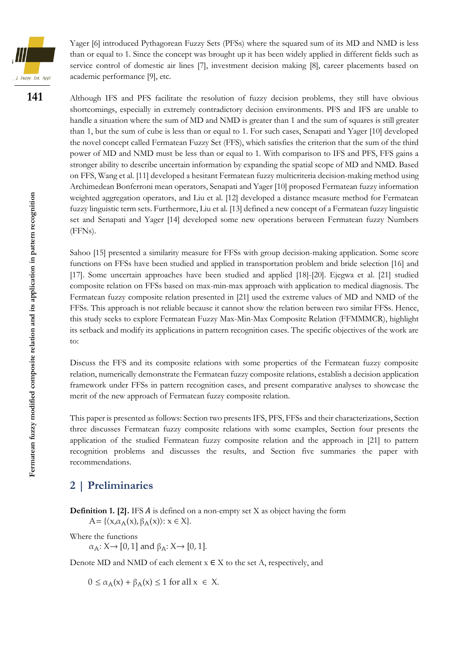

Yager [6] introduced Pythagorean Fuzzy Sets (PFSs) where the squared sum of its MD and NMD is less than or equal to 1. Since the concept was brought up it has been widely applied in different fields such as service control of domestic air lines [7], investment decision making [8], career placements based on academic performance [9], etc.

**141**

Although IFS and PFS facilitate the resolution of fuzzy decision problems, they still have obvious shortcomings, especially in extremely contradictory decision environments. PFS and IFS are unable to handle a situation where the sum of MD and NMD is greater than 1 and the sum of squares is still greater than 1, but the sum of cube is less than or equal to 1. For such cases, Senapati and Yager [10] developed the novel concept called Fermatean Fuzzy Set (FFS), which satisfies the criterion that the sum of the third power of MD and NMD must be less than or equal to 1. With comparison to IFS and PFS, FFS gains a stronger ability to describe uncertain information by expanding the spatial scope of MD and NMD. Based on FFS, Wang et al. [11] developed a hesitant Fermatean fuzzy multicriteria decision-making method using Archimedean Bonferroni mean operators, Senapati and Yager [10] proposed Fermatean fuzzy information weighted aggregation operators, and Liu et al. [12] developed a distance measure method for Fermatean fuzzy linguistic term sets. Furthermore, Liu et al. [13] defined a new concept of a Fermatean fuzzy linguistic set and Senapati and Yager [14] developed some new operations between Fermatean fuzzy Numbers (FFNs).

Sahoo [15] presented a similarity measure for FFSs with group decision-making application. Some score functions on FFSs have been studied and applied in transportation problem and bride selection [16] and [17]. Some uncertain approaches have been studied and applied [18]-[20]. Ejegwa et al. [21] studied composite relation on FFSs based on max-min-max approach with application to medical diagnosis. The Fermatean fuzzy composite relation presented in [21] used the extreme values of MD and NMD of the FFSs. This approach is not reliable because it cannot show the relation between two similar FFSs. Hence, this study seeks to explore Fermatean Fuzzy Max-Min-Max Composite Relation (FFMMMCR), highlight its setback and modify its applications in pattern recognition cases. The specific objectives of the work are to:

Discuss the FFS and its composite relations with some properties of the Fermatean fuzzy composite relation, numerically demonstrate the Fermatean fuzzy composite relations, establish a decision application framework under FFSs in pattern recognition cases, and present comparative analyses to showcase the merit of the new approach of Fermatean fuzzy composite relation.

This paper is presented as follows: Section two presents IFS, PFS, FFSs and their characterizations, Section three discusses Fermatean fuzzy composite relations with some examples, Section four presents the application of the studied Fermatean fuzzy composite relation and the approach in [21] to pattern recognition problems and discusses the results, and Section five summaries the paper with recommendations.

### **2 | Preliminaries**

**Definition 1. [2].** IFS  $\vec{A}$  is defined on a non-empty set  $X$  as object having the form  $A = \{ \langle x, \alpha_A(x), \beta_A(x) \rangle : x \in X \}.$ 

Where the functions

 $\alpha_A: X \rightarrow [0, 1]$  and  $\beta_A: X \rightarrow [0, 1]$ .

Denote MD and NMD of each element  $x \in X$  to the set A, respectively, and

 $0 \le \alpha_A(x) + \beta_A(x) \le 1$  for all  $x \in X$ .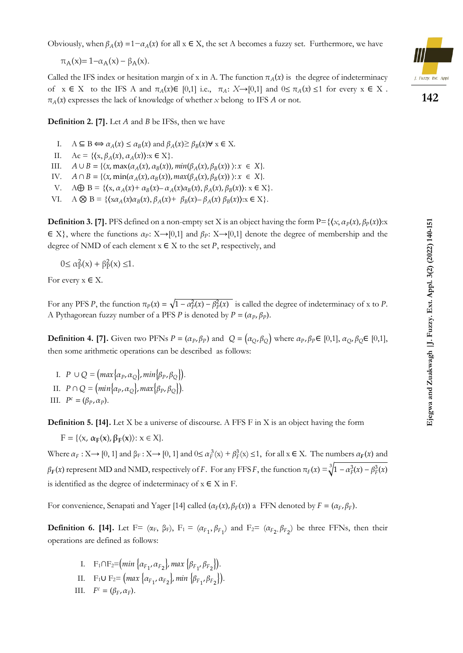Obviously, when  $\beta_A(x) = 1 - \alpha_A(x)$  for all  $x \in X$ , the set A becomes a fuzzy set. Furthermore, we have

$$
\pi_A(x) = 1 - \alpha_A(x) - \beta_A(x).
$$

Called the IFS index or hesitation margin of x in A. The function  $\pi_A(x)$  is the degree of indeterminacy of  $x \in X$  to the IFS A and  $\pi_A(x) \in [0,1]$  i.e.,  $\pi_A: X \rightarrow [0,1]$  and  $0 \leq \pi_A(x) \leq 1$  for every  $x \in X$ .  $\pi_A(x)$  expresses the lack of knowledge of whether *x* belong to IFS *A* or not.

**Definition 2. [7].** Let *A* and *B* be IFSs, then we have

- I.  $A \subseteq B \Longleftrightarrow \alpha_A(x) \le \alpha_B(x)$  and  $\beta_A(x) \ge \beta_B(x) \forall x \in X$ .
- II.  $Ac = \{ \langle x, \beta_A(x), \alpha_A(x) \rangle : x \in X \}.$
- III.  $A \cup B = \{ \langle x, \max(\alpha_A(x), \alpha_B(x)), \min(\beta_A(x), \beta_B(x)) \rangle : x \in X \}.$
- IV.  $A \cap B = \{ \langle x, \min(\alpha_A(x), \alpha_B(x)), \max(\beta_A(x), \beta_B(x)) \rangle : x \in X \}.$
- V.  $A \bigoplus B = \{ (x, \alpha_A(x) + \alpha_B(x) \alpha_A(x)\alpha_B(x), \beta_A(x), \beta_B(x)) : x \in X \}.$
- VI.  $A \otimes B = \{ (x\alpha_A(x)\alpha_B(x), \beta_A(x) + \beta_B(x) \beta_A(x)\beta_B(x)) : x \in X \}.$

**Definition 3. [7].** PFS defined on a non-empty set X is an object having the form  $P = \{(x, \alpha_P(x), \beta_P(x)) : x$  $\in X$ }, where the functions  $\alpha_P: X \rightarrow [0,1]$  and  $\beta_P: X \rightarrow [0,1]$  denote the degree of membership and the degree of NMD of each element  $x \in X$  to the set P, respectively, and

 $0 \le \alpha_{\rm P}^2(x) + \beta_{\rm P}^2(x) \le 1.$ 

For every  $x \in X$ .

For any PFS P, the function  $\pi_p(x) = \sqrt{1 - \alpha_p^2(x) - \beta_p^2(x)}$  is called the degree of indeterminacy of x to P. A Pythagorean fuzzy number of a PFS *P* is denoted by  $P = (\alpha_P, \beta_P)$ .

**Definition 4. [7].** Given two PFNs  $P = (\alpha_P, \beta_P)$  and  $Q = (\alpha_Q, \beta_Q)$  where  $\alpha_P, \beta_P \in [0,1]$ ,  $\alpha_Q, \beta_Q \in [0,1]$ , then some arithmetic operations can be described as follows:

I.  $P \cup Q = \left( max \{ \alpha_P, \alpha_Q \}, min \{ \beta_P, \beta_Q \} \right).$ II.  $P \cap Q = \left( min \{ \alpha_P, \alpha_Q \}, max \{ \beta_P, \beta_Q \} \right)$ . III.  $P^c = (\beta_P, \alpha_P)$ .

**Definition 5. [14].** Let X be a universe of discourse. A FFS F in X is an object having the form

 $F = \{ \langle x, \alpha_F(x), \beta_F(x) \rangle : x \in X \}.$ 

Where  $\alpha_F : X \to [0, 1]$  and  $\beta_F : X \to [0, 1]$  and  $0 \le \alpha_F^3(x) + \beta_F^3(x) \le 1$ , for all  $x \in X$ . The numbers  $\alpha_F(x)$  and  $\beta_F(x)$  represent MD and NMD, respectively of F. For any FFS F, the function  $\pi_F(x) = \sqrt[3]{1 - \alpha_F^3(x) - \beta_F^3(x)}$ is identified as the degree of indeterminacy of  $x \in X$  in F.

For convenience, Senapati and Yager [14] called  $(\alpha_F(x), \beta_F(x))$  a FFN denoted by  $F = (\alpha_F, \beta_F)$ .

**Definition 6. [14].** Let F= ( $\alpha_F$ ,  $\beta_F$ ), F<sub>1</sub> = ( $\alpha_{F_1}$ ,  $\beta_{F_1}$ ) and F<sub>2</sub>= ( $\alpha_{F_2}$ ,  $\beta_{F_2}$ ) be three FFNs, then their operations are defined as follows:

- I.  $F_1 \cap F_2 = (min \{ \alpha_{F_1}, \alpha_{F_2} \}, max \{ \beta_{F_1}, \beta_{F_2} \}).$
- II.  $F_1 \cup F_2 = \left( max \{ \alpha_{F_1}, \alpha_{F_2} \} , min \{ \beta_{F_1}, \beta_{F_2} \} \right).$
- III.  $F^c = (\beta_F, \alpha_F)$ .

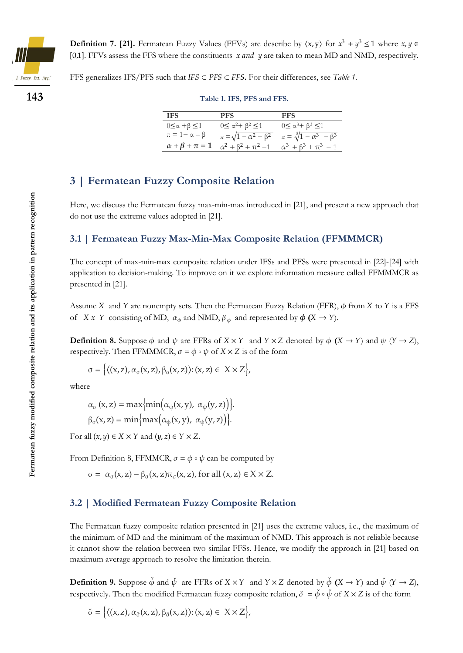

**Definition 7. [21].** Fermatean Fuzzy Values (FFVs) are describe by  $\langle x, y \rangle$  for  $x^3 + y^3 \le 1$  where  $x, y \in$ [0,1]. FFVs assess the FFS where the constituents  $x$  and  $y$  are taken to mean MD and NMD, respectively.

FFS generalizes IFS/PFS such that  $IFS \subset PFS \subset FFS$ . For their differences, see *Table 1*.

**143**

| Table 1. IFS, PFS and FFS. |  |  |  |
|----------------------------|--|--|--|
|                            |  |  |  |

| <b>IFS</b>                     | <b>PFS</b>                            | FFS                                      |
|--------------------------------|---------------------------------------|------------------------------------------|
| $0 \leq \alpha + \beta \leq 1$ | $0 \leq \alpha^2 + \beta^2 \leq 1$    | $0 \le \alpha^3 + \beta^3 \le 1$         |
| $\pi = 1 - \alpha - \beta$     | $\pi = \sqrt{1 - \alpha^2 - \beta^2}$ | $\pi = \sqrt[3]{1 - \alpha^3 - \beta^3}$ |
| $\alpha + \beta + \pi = 1$     | $\alpha^2 + \beta^2 + \pi^2 = 1$      | $\alpha^3 + \beta^3 + \pi^3 = 1$         |

### **3 | Fermatean Fuzzy Composite Relation**

Here, we discuss the Fermatean fuzzy max-min-max introduced in [21], and present a new approach that do not use the extreme values adopted in [21].

#### **3.1 | Fermatean Fuzzy Max-Min-Max Composite Relation (FFMMMCR)**

The concept of max-min-max composite relation under IFSs and PFSs were presented in [22]-[24] with application to decision-making. To improve on it we explore information measure called FFMMMCR as presented in [21].

Assume X and Y are nonempty sets. Then the Fermatean Fuzzy Relation (FFR),  $\phi$  from X to Y is a FFS of  $X \times Y$  consisting of MD,  $\alpha_{\phi}$  and NMD,  $\beta_{\phi}$  and represented by  $\phi(X \rightarrow Y)$ .

**Definition 8.** Suppose  $\phi$  and  $\psi$  are FFRs of  $X \times Y$  and  $Y \times Z$  denoted by  $\phi$   $(X \to Y)$  and  $\psi$   $(Y \to Z)$ , respectively. Then FFMMMCR,  $\sigma = \phi \circ \psi$  of  $X \times Z$  is of the form

$$
\sigma = \left\{ \left\langle (x, z), \alpha_{\sigma}(x, z), \beta_{\sigma}(x, z) \right\rangle : (x, z) \in X \times Z \right\},\
$$

where

$$
\alpha_{\sigma}(x, z) = \max\{\min(\alpha_{\phi}(x, y), \alpha_{\psi}(y, z))\}.
$$
  

$$
\beta_{\sigma}(x, z) = \min\{\max(\alpha_{\phi}(x, y), \alpha_{\psi}(y, z))\}.
$$

For all  $(x, y) \in X \times Y$  and  $(y, z) \in Y \times Z$ .

From Definition 8, FFMMCR,  $\sigma = \phi \circ \psi$  can be computed by

$$
\sigma = \alpha_{\sigma}(x, z) - \beta_{\sigma}(x, z)\pi_{\sigma}(x, z), \text{ for all } (x, z) \in X \times Z.
$$

#### **3.2 | Modified Fermatean Fuzzy Composite Relation**

The Fermatean fuzzy composite relation presented in [21] uses the extreme values, i.e., the maximum of the minimum of MD and the minimum of the maximum of NMD. This approach is not reliable because it cannot show the relation between two similar FFSs. Hence, we modify the approach in [21] based on maximum average approach to resolve the limitation therein.

**Definition 9.** Suppose  $\check{\phi}$  and  $\check{\psi}$  are FFRs of  $X \times Y$  and  $Y \times Z$  denoted by  $\check{\phi}$   $(X \to Y)$  and  $\check{\psi}$   $(Y \to Z)$ , respectively. Then the modified Fermatean fuzzy composite relation,  $\check{\sigma} = \check{\phi} \circ \check{\psi}$  of  $X \times Z$  is of the form

$$
\check{\sigma} = \left\{ \left( (x, z), \alpha_{\check{\sigma}}(x, z), \beta_{\check{\sigma}}(x, z) \right) : (x, z) \in X \times Z \right\},\
$$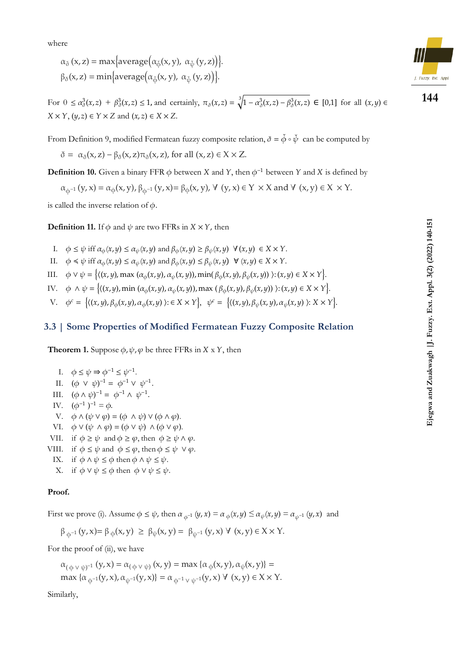where

$$
\alpha_{\check{\sigma}}(x, z) = \max\{\text{average}(\alpha_{\check{\phi}}(x, y), \alpha_{\check{\psi}}(y, z))\}.
$$

$$
\beta_{\check{\sigma}}(x, z) = \min\{\text{average}(\alpha_{\check{\phi}}(x, y), \alpha_{\check{\psi}}(y, z))\}.
$$

For  $0 \le \alpha_\sigma^3(x, z) + \beta_\sigma^3(x, z) \le 1$ , and certainly,  $\pi_\sigma(x, z) = \sqrt[3]{1 - \alpha_\sigma^3(x, z) - \beta_\sigma^3(x, z)} \in [0, 1]$  for all  $(x, y) \in$  $X \times Y$ ,  $(y, z) \in Y \times Z$  and  $(x, z) \in X \times Z$ .

From Definition 9, modified Fermatean fuzzy composite relation,  $\check{\sigma} = \check{\phi} \circ \check{\psi}$  can be computed by

$$
\check{\sigma}=\ \alpha_{\check{\sigma}}(x,z)-\beta_{\check{\sigma}}(x,z)\pi_{\check{\sigma}}(x,z),\,\text{for all}\;(x,z)\in X\times Z.
$$

**Definition 10.** Given a binary FFR  $\phi$  between X and Y, then  $\phi^{-1}$  between Y and X is defined by

 $\alpha_{\varphi^{-1}}(y, x) = \alpha_{\varphi}(x, y), \beta_{\varphi^{-1}}(y, x) = \beta_{\varphi}(x, y), \forall (y, x) \in Y \times X \text{ and } \forall (x, y) \in X \times Y.$ 

is called the inverse relation of  $\phi$ .

**Definition 11.** If  $\phi$  and  $\psi$  are two FFRs in  $X \times Y$ , then

- I.  $\phi \le \psi$  iff  $\alpha_{\phi}(x, y) \le \alpha_{\psi}(x, y)$  and  $\beta_{\phi}(x, y) \ge \beta_{\psi}(x, y) \ \forall (x, y) \in X \times Y$ .
- II.  $\phi \le \psi$  iff  $\alpha_{\phi}(x, y) \le \alpha_{\psi}(x, y)$  and  $\beta_{\phi}(x, y) \le \beta_{\psi}(x, y) \quad \forall (x, y) \in X \times Y$ .

III. 
$$
\phi \lor \psi = \{((x, y), \max(\alpha_{\phi}(x, y), \alpha_{\psi}(x, y)), \min(\beta_{\phi}(x, y), \beta_{\psi}(x, y))): (x, y) \in X \times Y\}.
$$

IV.  $\phi \wedge \psi = \{((x, y), \min(\alpha_{\phi}(x, y), \alpha_{\psi}(x, y)), \max(\beta_{\phi}(x, y), \beta_{\psi}(x, y)))\}; (x, y) \in X \times Y\}.$ 

V.  $\phi^c = \{(x, y), \beta_\phi(x, y), \alpha_\phi(x, y) \mid x \in X \times Y\}$ ,  $\psi^c = \{(x, y), \beta_\psi(x, y), \alpha_\psi(x, y) \mid x \times Y\}$ .

#### **3.3 | Some Properties of Modified Fermatean Fuzzy Composite Relation**

**Theorem 1.** Suppose  $\phi$ ,  $\psi$ ,  $\varphi$  be three FFRs in  $X \times Y$ , then

\n- I. 
$$
\phi \leq \psi \Rightarrow \phi^{-1} \leq \psi^{-1}
$$
.
\n- II.  $(\phi \vee \psi)^{-1} = \phi^{-1} \vee \psi^{-1}$ .
\n- III.  $(\phi \wedge \psi)^{-1} = \phi^{-1} \wedge \psi^{-1}$ .
\n- IV.  $(\phi^{-1})^{-1} = \phi$ .
\n- V.  $\phi \wedge (\psi \vee \phi) = (\phi \wedge \psi) \vee (\phi \wedge \phi)$ .
\n- VI.  $\phi \vee (\psi \wedge \phi) = (\phi \vee \psi) \wedge (\phi \vee \phi)$ .
\n- VII. if  $\phi \geq \psi$  and  $\phi \geq \phi$ , then  $\phi \geq \psi \wedge \phi$ .
\n- VIII. if  $\phi \leq \psi$  and  $\phi \leq \phi$ , then  $\phi \leq \psi \vee \phi$ .
\n- IX. if  $\phi \wedge \psi \leq \phi$  then  $\phi \wedge \psi \leq \psi$ .
\n

X. if  $\phi \lor \psi \leq \phi$  then  $\phi \lor \psi \leq \psi$ .

#### **Proof.**

First we prove (i). Assume  $\phi \leq \psi$ , then  $\alpha_{\phi^{-1}}(y, x) = \alpha_{\phi}(x, y) \leq \alpha_{\psi}(x, y) = \alpha_{\psi^{-1}}(y, x)$  and

$$
\beta_{\varphi^{-1}}(y,x) = \beta_{\varphi}(x,y) \ge \beta_{\psi}(x,y) = \beta_{\psi^{-1}}(y,x) \ \forall \ (x,y) \in X \times Y.
$$

For the proof of (ii), we have

$$
\alpha_{(\varphi \vee \psi)^{-1}}(y, x) = \alpha_{(\varphi \vee \psi)}(x, y) = \max \{ \alpha_{\varphi}(x, y), \alpha_{\psi}(x, y) \} = \max \{ \alpha_{\varphi^{-1}}(y, x), \alpha_{\psi^{-1}}(y, x) \} = \alpha_{\varphi^{-1} \vee \psi^{-1}}(y, x) \ \forall \ (x, y) \in X \times Y.
$$

Similarly,

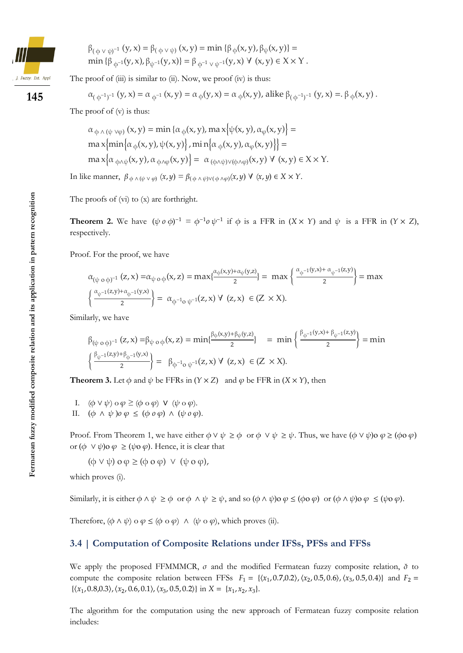

$$
\beta_{(\varphi \vee \psi)^{-1}}(y, x) = \beta_{(\varphi \vee \psi)}(x, y) = \min \{\beta_{\varphi}(x, y), \beta_{\psi}(x, y)\} = \min \{\beta_{\varphi^{-1}}(y, x), \beta_{\psi^{-1}}(y, x)\} = \beta_{\varphi^{-1} \vee \psi^{-1}}(y, x) \forall (x, y) \in X \times Y.
$$

The proof of  $(iii)$  is similar to  $(ii)$ . Now, we proof  $(iv)$  is thus:

$$
\alpha_{(\varphi^{-1})^{-1}}(y,x)=\alpha_{\varphi^{-1}}(x,y)=\alpha_{\varphi}(y,x)=\alpha_{\varphi}(x,y), \text{alike }\beta_{(\varphi^{-1})^{-1}}(y,x)=\beta_{\varphi}(x,y)\ .
$$

The proof of (v) is thus:

$$
\alpha_{\phi \wedge (\psi \vee \varphi)} (x, y) = \min \{ \alpha_{\phi}(x, y), \max \{ \psi(x, y), \alpha_{\phi}(x, y) \} =
$$
  
\n
$$
\max \{ \min \{ \alpha_{\phi}(x, y), \psi(x, y) \}, \min \{ \alpha_{\phi}(x, y), \alpha_{\phi}(x, y) \} \} =
$$
  
\n
$$
\max \{ \alpha_{\phi \wedge \psi}(x, y), \alpha_{\phi \wedge \varphi}(x, y) \} = \alpha_{(\phi \wedge \psi) \vee (\phi \wedge \varphi)}(x, y) \ \forall \ (x, y) \in X \times Y.
$$

In like manner,  $\beta_{\phi \wedge (\psi \vee \phi)} (x, y) = \beta_{(\phi \wedge \psi) \vee (\phi \wedge \phi)}(x, y) \vee (x, y) \in X \times Y$ .

The proofs of (vi) to (x) are forthright.

**Theorem 2.** We have  $(\psi \circ \phi)^{-1} = \phi^{-1} \circ \psi^{-1}$  if  $\phi$  is a FFR in  $(X \times Y)$  and  $\psi$  is a FFR in  $(Y \times Z)$ , respectively.

Proof. For the proof, we have

$$
\alpha_{(\psi \circ \phi)^{-1}}(z, x) = \alpha_{\psi \circ \phi}(x, z) = \max\{\frac{\alpha_{\phi}(x, y) + \alpha_{\psi}(y, z)}{2}\} = \max\left\{\frac{\alpha_{\phi^{-1}}(y, x) + \alpha_{\psi^{-1}}(z, y)}{2}\right\} = \max\left\{\frac{\alpha_{\psi^{-1}}(z, y) + \alpha_{\phi^{-1}}(y, x)}{2}\right\} = \max\left\{\frac{\alpha_{\psi^{-1}}(z, y) + \alpha_{\phi^{-1}}(y, x)}{2}\right\} = \alpha_{\phi^{-1} \circ \psi^{-1}}(z, x) \ \forall (z, x) \in (Z \times X).
$$

Similarly, we have

$$
\beta_{(\psi \circ \phi)^{-1}}(z, x) = \beta_{\psi \circ \phi}(x, z) = \min\{\frac{\beta_{\phi}(x, y) + \beta_{\psi}(y, z)}{2}\} = \min\{\frac{\beta_{\phi^{-1}}(y, x) + \beta_{\psi^{-1}}(z, y)}{2}\} = \min\{\frac{\beta_{\phi^{-1}}(y, x) + \beta_{\psi^{-1}}(z, y)}{2}\} = \min\{\frac{\beta_{\psi^{-1}}(z, y) + \beta_{\phi^{-1}}(y, x)}{2}\} = \min\{\frac{\beta_{\psi^{-1}}(z, y) + \beta_{\phi^{-1}}(y, x)}{2}\} = \min\{\frac{\beta_{\psi^{-1}}(z, y) + \beta_{\psi^{-1}}(y, x)}{2}\} = \min\{\frac{\beta_{\psi^{-1}}(z, y) + \beta_{\psi^{-1}}(y, x)}{2}\} = \min\{\frac{\beta_{\psi^{-1}}(z, y) + \beta_{\psi^{-1}}(y, x)}{2}\} = \min\{\frac{\beta_{\psi^{-1}}(z, y) + \beta_{\psi^{-1}}(z, y)}{2}\} = \min\{\frac{\beta_{\psi^{-1}}(z, y) + \beta_{\psi^{-1}}(z, y)}{2}\} = \min\{\frac{\beta_{\psi^{-1}}(z, y) + \beta_{\psi^{-1}}(z, y)}{2}\} = \min\{\frac{\beta_{\psi^{-1}}(z, y) + \beta_{\psi^{-1}}(z, y)}{2}\} = \min\{\frac{\beta_{\psi^{-1}}(z, y) + \beta_{\psi^{-1}}(z, y)}{2}\} = \min\{\frac{\beta_{\psi^{-1}}(z, y) + \beta_{\psi^{-1}}(z, y)}{2}\} = \min\{\frac{\beta_{\psi^{-1}}(z, y) + \beta_{\psi^{-1}}(z, y)}{2}\} = \min\{\frac{\beta_{\psi^{-1}}(z, y) + \beta_{\psi^{-1}}(z, y)}{2}\} = \min\{\frac{\beta_{\psi^{-1}}(z, y) + \beta_{\psi^{-1}}(z, y)}{2}\} = \min\{\frac{\beta_{\psi^{-1}}(z, y) + \beta_{\psi^{-1}}(z, y)}{2}\} = \min\{\frac{\beta_{\psi^{-1}}(z, y) + \beta_{\psi^{-1}}(z, y)}{2}\} = \min\{\frac{\beta_{\psi^{-1}}(z, y) + \beta_{\psi^{-1}}(z
$$

**Theorem 3.** Let  $\phi$  and  $\psi$  be FFRs in  $(Y \times Z)$  and  $\phi$  be FFR in  $(X \times Y)$ , then

- I.  $(\phi \vee \psi) \circ \phi \geq (\phi \circ \phi) \vee (\psi \circ \phi)$ .
- II.  $(\phi \land \psi) \circ \varphi \leq (\phi \circ \varphi) \land (\psi \circ \varphi)$ .

Proof. From Theorem 1, we have either  $\phi \lor \psi \geq \phi$  or  $\phi \lor \psi \geq \psi$ . Thus, we have  $(\phi \lor \psi) \circ \phi \geq (\phi \circ \phi)$ or  $(\phi \lor \psi)$ o  $\varphi \geq (\psi \circ \varphi)$ . Hence, it is clear that

 $(\phi \lor \psi) \circ \phi \geq (\phi \circ \phi) \lor (\psi \circ \phi),$ 

which proves  $(i)$ .

Similarly, it is either  $\phi \wedge \psi \ge \phi$  or  $\phi \wedge \psi \ge \psi$ , and so  $(\phi \wedge \psi) \circ \phi \le (\phi \circ \phi)$  or  $(\phi \wedge \psi) \circ \phi \le (\psi \circ \phi)$ .

Therefore,  $(\phi \land \psi) \circ \phi \leq (\phi \circ \phi) \land (\psi \circ \phi)$ , which proves (ii).

#### **3.4 | Computation of Composite Relations under IFSs, PFSs and FFSs**

We apply the proposed FFMMMCR,  $\sigma$  and the modified Fermatean fuzzy composite relation,  $\check{\sigma}$  to compute the composite relation between FFSs  $F_1 = \{ (x_1, 0.7, 0.2), (x_2, 0.5, 0.6), (x_3, 0.5, 0.4) \}$  and  $F_2 =$  $\{(x_1, 0.8, 0.3), (x_2, 0.6, 0.1), (x_3, 0.5, 0.2)\}\$ in  $X = \{x_1, x_2, x_3\}.$ 

The algorithm for the computation using the new approach of Fermatean fuzzy composite relation includes: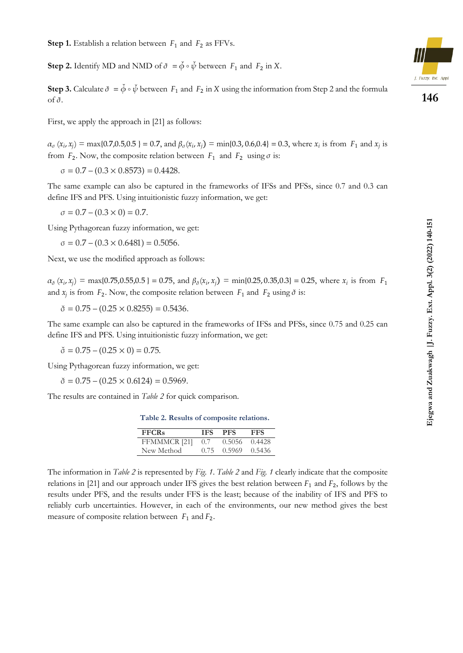**Step 2.** Identify MD and NMD of  $\check{\sigma} = \check{\phi} \circ \check{\psi}$  between  $F_1$  and  $F_2$  in X.

**Step 3.** Calculate  $\check{\sigma} = \check{\phi} \circ \check{\psi}$  between  $F_1$  and  $F_2$  in X using the information from Step 2 and the formula of  $\check{\sigma}$ .

First, we apply the approach in [21] as follows:

 $\alpha_{\sigma}(x_i, x_j) = \max\{0.7, 0.5, 0.5\} = 0.7$ , and  $\beta_{\sigma}(x_i, x_j) = \min\{0.3, 0.6, 0.4\} = 0.3$ , where  $x_i$  is from  $F_1$  and  $x_j$  is from  $F_2$ . Now, the composite relation between  $F_1$  and  $F_2$  using  $\sigma$  is:

 $\sigma = 0.7 - (0.3 \times 0.8573) = 0.4428.$ 

The same example can also be captured in the frameworks of IFSs and PFSs, since 0.7 and 0.3 can define IFS and PFS. Using intuitionistic fuzzy information, we get:

 $\sigma = 0.7 - (0.3 \times 0) = 0.7.$ 

Using Pythagorean fuzzy information, we get:

 $\sigma = 0.7 - (0.3 \times 0.6481) = 0.5056.$ 

Next, we use the modified approach as follows:

 $\alpha_{\check{\sigma}}(x_i, x_j) = \max\{0.75, 0.55, 0.5\} = 0.75$ , and  $\beta_{\check{\sigma}}(x_i, x_j) = \min\{0.25, 0.35, 0.3\} = 0.25$ , where  $x_i$  is from  $F_1$ and  $x_j$  is from  $F_2$ . Now, the composite relation between  $F_1$  and  $F_2$  using  $\delta$  is:

 $\check{\sigma} = 0.75 - (0.25 \times 0.8255) = 0.5436.$ 

The same example can also be captured in the frameworks of IFSs and PFSs, since 0.75 and 0.25 can define IFS and PFS. Using intuitionistic fuzzy information, we get:

 $\check{\sigma} = 0.75 - (0.25 \times 0) = 0.75.$ 

Using Pythagorean fuzzy information, we get:

 $\check{\sigma} = 0.75 - (0.25 \times 0.6124) = 0.5969.$ 

The results are contained in *Table 2* for quick comparison.

| Table 2. Results of composite relations. |  |  |
|------------------------------------------|--|--|
|------------------------------------------|--|--|

| <b>FFCRs</b> | <b>IFS</b> | <b>PFS</b> | <b>FFS</b> |
|--------------|------------|------------|------------|
| FFMMMCR [21] | 0.7        | 0.5056     | 0.4428     |
| New Method   | 0.75       | 0.5969     | 0.5436     |

The information in *Table 2* is represented by *Fig. 1*. *Table 2* and *Fig. 1* clearly indicate that the composite relations in [21] and our approach under IFS gives the best relation between  $F_1$  and  $F_2$ , follows by the results under PFS, and the results under FFS is the least; because of the inability of IFS and PFS to reliably curb uncertainties. However, in each of the environments, our new method gives the best measure of composite relation between  $F_1$  and  $F_2$ .

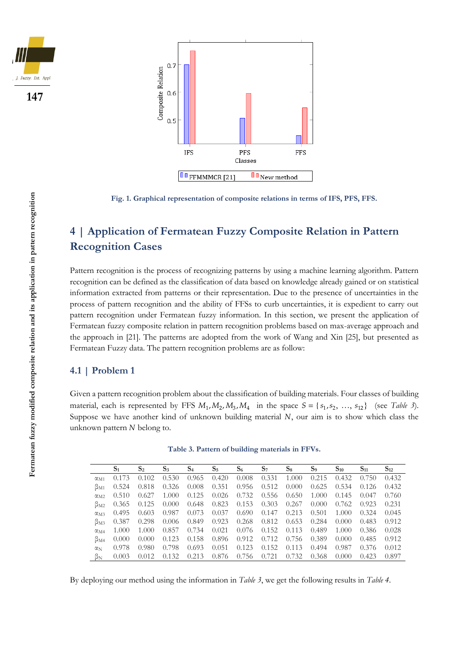





**Fig. 1. Graphical representation of composite relations in terms of IFS, PFS, FFS.**

## **4 | Application of Fermatean Fuzzy Composite Relation in Pattern Recognition Cases**

Pattern recognition is the process of recognizing patterns by using a machine learning algorithm. Pattern recognition can be defined as the classification of data based on knowledge already gained or on statistical information extracted from patterns or their representation. Due to the presence of uncertainties in the process of pattern recognition and the ability of FFSs to curb uncertainties, it is expedient to carry out pattern recognition under Fermatean fuzzy information. In this section, we present the application of Fermatean fuzzy composite relation in pattern recognition problems based on max-average approach and the approach in [21]. The patterns are adopted from the work of Wang and Xin [25], but presented as Fermatean Fuzzy data. The pattern recognition problems are as follow:

#### **4.1 | Problem 1**

Given a pattern recognition problem about the classification of building materials. Four classes of building material, each is represented by FFS  $M_1, M_2, M_3, M_4$  in the space  $S = \{s_1, s_2, ..., s_{12}\}\$  (see *Table 3*). Suppose we have another kind of unknown building material  $N$ , our aim is to show which class the unknown pattern  $N$  belong to.

|                   | S <sub>1</sub> | $S_2$ | $S_3$ | S <sub>4</sub> | $S_5$ | $S_6$ | $S_7$ | $S_8$ | $S_9$ | $S_{10}$ | $S_{11}$ | $S_{12}$ |
|-------------------|----------------|-------|-------|----------------|-------|-------|-------|-------|-------|----------|----------|----------|
| $\alpha_{\rm M1}$ | 0.173          | 0.102 | 0.530 | 0.965          | 0.420 | 0.008 | 0.331 | 1.000 | 0.215 | 0.432    | 0.750    | 0.432    |
| $\beta_{\rm M1}$  | 0.524          | 0.818 | 0.326 | 0.008          | 0.351 | 0.956 | 0.512 | 0.000 | 0.625 | 0.534    | 0.126    | 0.432    |
| $\alpha_{\rm M2}$ | 0.510          | 0.627 | 1.000 | 0.125          | 0.026 | 0.732 | 0.556 | 0.650 | 1.000 | 0.145    | (0.047)  | 0.760    |
| $\beta_{\rm M2}$  | 0.365          | 0.125 | 0.000 | 0.648          | 0.823 | 0.153 | 0.303 | 0.267 | 0.000 | 0.762    | 0.923    | 0.231    |
| $\alpha_{\rm M3}$ | 0.495          | 0.603 | 0.987 | 0.073          | 0.037 | 0.690 | 0.147 | 0.213 | 0.501 | 1.000    | 0.324    | 0.045    |
| $\beta_{\rm M3}$  | 0.387          | 0.298 | 0.006 | 0.849          | 0.923 | 0.268 | 0.812 | 0.653 | 0.284 | 0.000    | 0.483    | 0.912    |
| $\alpha_{\rm M4}$ | 1.000          | 1.000 | 0.857 | 0.734          | 0.021 | 0.076 | 0.152 | 0.113 | 0.489 | 1.000    | 0.386    | 0.028    |
| $\beta_{\rm M4}$  | 0.000          | 0.000 | 0.123 | 0.158          | 0.896 | 0.912 | 0.712 | 0.756 | 0.389 | 0.000    | 0.485    | 0.912    |
| $\alpha_{\rm N}$  | 0.978          | 0.980 | 0.798 | 0.693          | 0.051 | 0.123 | 0.152 | 0.113 | 0.494 | 0.987    | 0.376    | 0.012    |
| βN                | 0.003          | 0.012 | 0.132 | 0.213          | 0.876 | 0.756 | 0.721 | 0.732 | 0.368 | 0.000    | 0.423    | 0.897    |

**Table 3. Pattern of building materials in FFVs.**

By deploying our method using the information in *Table 3*, we get the following results in *Table 4*.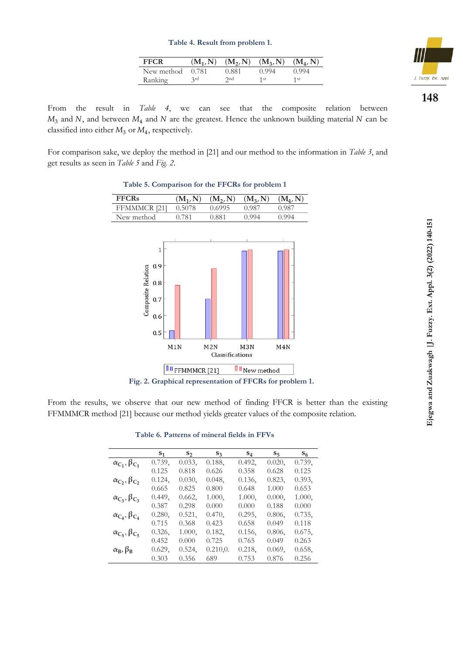| FFCR       |       |       | $(M_1, N)$ $(M_2, N)$ $(M_3, N)$ $(M_4, N)$ |                 |
|------------|-------|-------|---------------------------------------------|-----------------|
| New method | 0.781 | 0.881 | 0.994                                       | 0.994           |
| Ranking    | 3rd   | 2nd   | 1 st                                        | 1 <sub>st</sub> |



From the result in *Table 4*, we can see that the composite relation between  $M_3$  and N, and between  $M_4$  and N are the greatest. Hence the unknown building material N can be classified into either  $M_3$  or  $M_4$ , respectively.

For comparison sake, we deploy the method in [21] and our method to the information in *Table 3*, and get results as seen in *Table 5* and *Fig. 2*.

| <b>FFCRs</b>                                                          | $(M_1, N)$ | $(M_2, N)$ | $(M_3, N)$ | $(M_4, N)$ |  |  |  |
|-----------------------------------------------------------------------|------------|------------|------------|------------|--|--|--|
| FFMMMCR [21]                                                          | 0.5078     | 0.6995     | 0.987      | 0.987      |  |  |  |
| New method                                                            | 0.781      | 0.881      | 0.994      | 0.994      |  |  |  |
| $\mathbf{1}$<br>0.9<br>Composite Relation<br>0.8<br>0.7<br>0.6<br>0.5 |            |            |            |            |  |  |  |
| M1N<br>M2N<br>M3N<br>M <sub>4</sub> N<br>Classifications              |            |            |            |            |  |  |  |
|                                                                       |            |            |            |            |  |  |  |
| <b>O</b> New method<br><sup>0</sup> FFMMMCR [21]                      |            |            |            |            |  |  |  |

**Table 5. Comparison for the FFCRs for problem 1**

**Fig. 2. Graphical representation of FFCRs for problem 1.**

From the results, we observe that our new method of finding FFCR is better than the existing FFMMMCR method [21] because our method yields greater values of the composite relation.

| Table 6. Patterns of mineral fields in FFVs |  |  |  |
|---------------------------------------------|--|--|--|
|---------------------------------------------|--|--|--|

|                             | $S_1$  | $S_2$     | $S_3$     | $S_4$     | $S_5$     | $S_6$  |
|-----------------------------|--------|-----------|-----------|-----------|-----------|--------|
| $\alpha_{C_1}, \beta_{C_1}$ | 0.739, | $0.033$ , | 0.188,    | 0.492,    | 0.020,    | 0.739, |
|                             | 0.125  | 0.818     | 0.626     | 0.358     | 0.628     | 0.125  |
| $\alpha_{C_2}, \beta_{C_2}$ | 0.124, | 0.030,    | 0.048,    | $0.136$ , | 0.823,    | 0.393, |
|                             | 0.665  | 0.825     | 0.800     | 0.648     | 1.000     | 0.653  |
| $\alpha_{C_3}, \beta_{C_3}$ | 0.449, | 0.662,    | 1.000,    | 1.000,    | 0.000,    | 1.000, |
|                             | 0.387  | 0.298     | 0.000     | 0.000     | 0.188     | 0.000  |
| $\alpha_{C_4}, \beta_{C_4}$ | 0.280, | 0.521,    | 0.470,    | 0.295,    | $0.806$ , | 0.735, |
|                             | 0.715  | 0.368     | 0.423     | 0.658     | 0.049     | 0.118  |
| $\alpha_{C_5}, \beta_{C_5}$ | 0.326, | 1.000,    | 0.182,    | 0.156,    | 0.806,    | 0.675, |
|                             | 0.452  | 0.000     | 0.725     | 0.765     | 0.049     | 0.263  |
| $\alpha_B$ , $\beta_B$      | 0.629, | 0.524,    | 0.210, 0. | 0.218,    | 0.069,    | 0.658, |
|                             | 0.303  | 0.356     | 689       | 0.753     | 0.876     | 0.256  |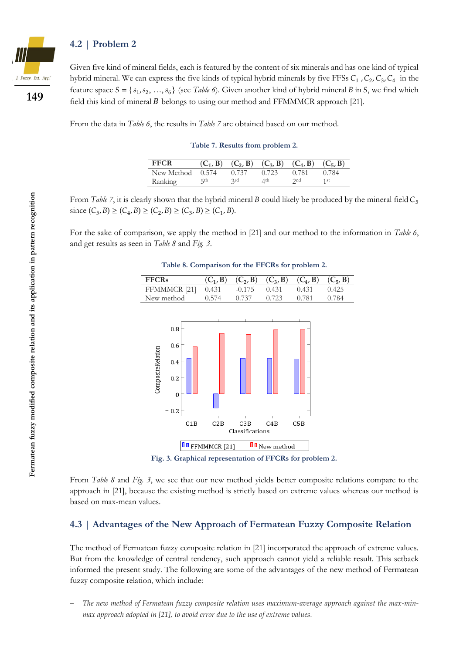#### **4.2 | Problem 2**



**149**

Given five kind of mineral fields, each is featured by the content of six minerals and has one kind of typical hybrid mineral. We can express the five kinds of typical hybrid minerals by five FFSs  $C_1$ ,  $C_2$ ,  $C_3$ ,  $C_4$  in the feature space  $S = \{s_1, s_2, ..., s_6\}$  (see *Table 6*). Given another kind of hybrid mineral *B* in *S*, we find which field this kind of mineral  $B$  belongs to using our method and FFMMMCR approach [21].

From the data in *Table 6*, the results in *Table 7* are obtained based on our method.

**Table 7. Results from problem 2.**

| FFCR               |     |       |       | $(C_1, B)$ $(C_2, B)$ $(C_3, B)$ $(C_4, B)$ $(C_5, B)$ |       |
|--------------------|-----|-------|-------|--------------------------------------------------------|-------|
| New Method $0.574$ |     | 0.737 | 0.723 | 0.781                                                  | 0.784 |
| Ranking            | 5th | 2rd   | 4th   | 2nd                                                    | 1st   |

From *Table 7*, it is clearly shown that the hybrid mineral *B* could likely be produced by the mineral field  $C_5$ since  $(C_5, B) \ge (C_4, B) \ge (C_2, B) \ge (C_3, B) \ge (C_1, B)$ .

For the sake of comparison, we apply the method in [21] and our method to the information in *Table 6*, and get results as seen in *Table 8* and *Fig. 3*.

| <b>FFCRs</b>      |                                                    | $(C_1, B)$            | $(C_2, B)$      | $(C_3, B)$          | $(C_4, B)$ | $(C_5, B)$ |
|-------------------|----------------------------------------------------|-----------------------|-----------------|---------------------|------------|------------|
|                   | FFMMMCR <sup>[21]</sup>                            | 0.431                 | $-0.175$        | 0.431               | 0.431      | 0.425      |
|                   | New method                                         | 0.574                 | 0.737           | 0.723               | 0.781      | 0.784      |
| CompositeRelation | 0.8<br>0.6<br>0.4<br>0.2<br>$\mathbf{0}$<br>$-0.2$ |                       |                 |                     |            |            |
|                   | C1B                                                | C2B                   | C3B             | C4B                 | C5B        |            |
|                   |                                                    |                       | Classifications |                     |            |            |
|                   |                                                    | <b>I</b> FFMMMCR [21] |                 | <b>O</b> New method |            |            |

**Table 8. Comparison for the FFCRs for problem 2.**

**Fig. 3. Graphical representation of FFCRs for problem 2.**

From *Table 8* and *Fig. 3*, we see that our new method yields better composite relations compare to the approach in [21], because the existing method is strictly based on extreme values whereas our method is based on max-mean values.

#### **4.3 | Advantages of the New Approach of Fermatean Fuzzy Composite Relation**

The method of Fermatean fuzzy composite relation in [21] incorporated the approach of extreme values. But from the knowledge of central tendency, such approach cannot yield a reliable result. This setback informed the present study. The following are some of the advantages of the new method of Fermatean fuzzy composite relation, which include:

− *The new method of Fermatean fuzzy composite relation uses maximum-average approach against the max-minmax approach adopted in [21], to avoid error due to the use of extreme values.*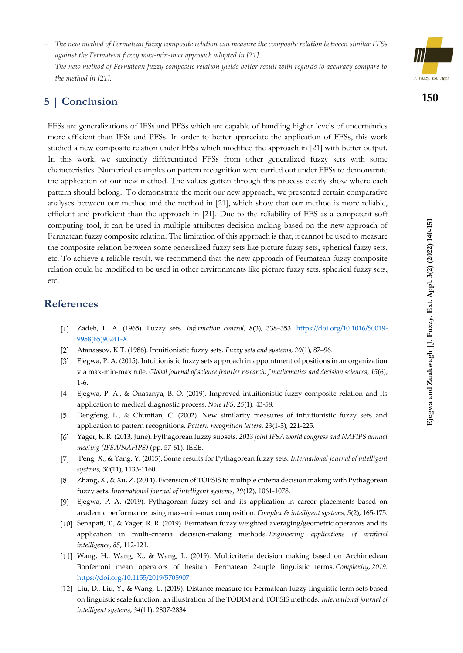- − *The new method of Fermatean fuzzy composite relation can measure the composite relation between similar FFSs against the Fermatean fuzzy max-min-max approach adopted in [21].*
- − *The new method of Fermatean fuzzy composite relation yields better result with regards to accuracy compare to the method in [21].*

### **5 | Conclusion**

FFSs are generalizations of IFSs and PFSs which are capable of handling higher levels of uncertainties more efficient than IFSs and PFSs. In order to better appreciate the application of FFSs, this work studied a new composite relation under FFSs which modified the approach in [21] with better output. In this work, we succinctly differentiated FFSs from other generalized fuzzy sets with some characteristics. Numerical examples on pattern recognition were carried out under FFSs to demonstrate the application of our new method. The values gotten through this process clearly show where each pattern should belong. To demonstrate the merit our new approach, we presented certain comparative analyses between our method and the method in [21], which show that our method is more reliable, efficient and proficient than the approach in [21]. Due to the reliability of FFS as a competent soft computing tool, it can be used in multiple attributes decision making based on the new approach of Fermatean fuzzy composite relation. The limitation of this approach is that, it cannot be used to measure the composite relation between some generalized fuzzy sets like picture fuzzy sets, spherical fuzzy sets, etc. To achieve a reliable result, we recommend that the new approach of Fermatean fuzzy composite relation could be modified to be used in other environments like picture fuzzy sets, spherical fuzzy sets, etc.

### **References**

- Zadeh, L. A. (1965). Fuzzy sets. *Information control, 8*(3), 338–353. [https://doi.org/10.1016/S0019-](https://doi.org/10.1016/S0019-9958(65)90241-X) [9958\(65\)90241-X](https://doi.org/10.1016/S0019-9958(65)90241-X)
- Atanassov, K.T. (1986). Intuitionistic fuzzy sets. *Fuzzy sets and systems, 20*(1), 87–96.
- Ejegwa, P. A. (2015). Intuitionistic fuzzy sets approach in appointment of positions in an organization via max-min-max rule. *Global journal of science frontier research: f mathematics and decision sciences*, *15*(6), 1-6.
- Ejegwa, P. A., & Onasanya, B. O. (2019). Improved intuitionistic fuzzy composite relation and its application to medical diagnostic process. *Note IFS*, *25*(1), 43-58.
- Dengfeng, L., & Chuntian, C. (2002). New similarity measures of intuitionistic fuzzy sets and application to pattern recognitions. *Pattern recognition letters*, *23*(1-3), 221-225.
- Yager, R. R. (2013, June). Pythagorean fuzzy subsets. *2013 joint IFSA world congress and NAFIPS annual meeting (IFSA/NAFIPS)* (pp. 57-61). IEEE.
- Peng, X., & Yang, Y. (2015). Some results for Pythagorean fuzzy sets. *International journal of intelligent*   $\lceil 7 \rceil$ *systems*, *30*(11), 1133-1160.
- [8] Zhang, X., & Xu, Z. (2014). Extension of TOPSIS to multiple criteria decision making with Pythagorean fuzzy sets. *International journal of intelligent systems*, *29*(12), 1061-1078.
- Ejegwa, P. A. (2019). Pythagorean fuzzy set and its application in career placements based on academic performance using max–min–max composition. *Complex & intelligent systems*, *5*(2), 165-175.
- [10] Senapati, T., & Yager, R. R. (2019). Fermatean fuzzy weighted averaging/geometric operators and its application in multi-criteria decision-making methods. *Engineering applications of artificial intelligence*, *85*, 112-121.
- Wang, H., Wang, X., & Wang, L. (2019). Multicriteria decision making based on Archimedean Bonferroni mean operators of hesitant Fermatean 2-tuple linguistic terms. *Complexity*, *2019*. <https://doi.org/10.1155/2019/5705907>
- Liu, D., Liu, Y., & Wang, L. (2019). Distance measure for Fermatean fuzzy linguistic term sets based on linguistic scale function: an illustration of the TODIM and TOPSIS methods. *International journal of intelligent systems*, *34*(11), 2807-2834.